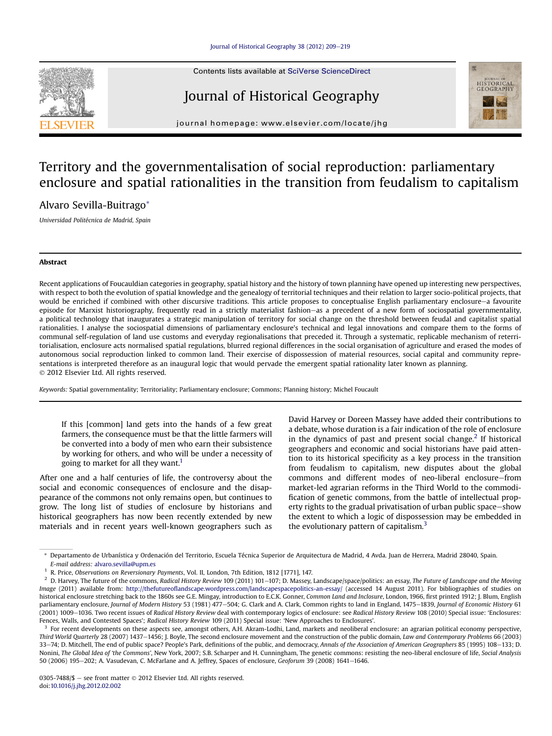<span id="page-0-0"></span>

# Journal of Historical Geography



journal homepage: [www.elsevier.com/locate/jhg](http://www.elsevier.com/locate/jhg)

## Territory and the governmentalisation of social reproduction: parliamentary enclosure and spatial rationalities in the transition from feudalism to capitalism

Alvaro Sevilla-Buitrago\*

Universidad Politécnica de Madrid, Spain

## Abstract

Recent applications of Foucauldian categories in geography, spatial history and the history of town planning have opened up interesting new perspectives, with respect to both the evolution of spatial knowledge and the genealogy of territorial techniques and their relation to larger socio-political projects, that would be enriched if combined with other discursive traditions. This article proposes to conceptualise English parliamentary enclosure-a favourite episode for Marxist historiography, frequently read in a strictly materialist fashion–as a precedent of a new form of sociospatial governmentality, a political technology that inaugurates a strategic manipulation of territory for social change on the threshold between feudal and capitalist spatial rationalities. I analyse the sociospatial dimensions of parliamentary enclosure's technical and legal innovations and compare them to the forms of communal self-regulation of land use customs and everyday regionalisations that preceded it. Through a systematic, replicable mechanism of reterritorialisation, enclosure acts normalised spatial regulations, blurred regional differences in the social organisation of agriculture and erased the modes of autonomous social reproduction linked to common land. Their exercise of dispossession of material resources, social capital and community representations is interpreted therefore as an inaugural logic that would pervade the emergent spatial rationality later known as planning. 2012 Elsevier Ltd. All rights reserved.

Keywords: Spatial governmentality; Territoriality; Parliamentary enclosure; Commons; Planning history; Michel Foucault

If this [common] land gets into the hands of a few great farmers, the consequence must be that the little farmers will be converted into a body of men who earn their subsistence by working for others, and who will be under a necessity of going to market for all they want.<sup>1</sup>

After one and a half centuries of life, the controversy about the social and economic consequences of enclosure and the disappearance of the commons not only remains open, but continues to grow. The long list of studies of enclosure by historians and historical geographers has now been recently extended by new materials and in recent years well-known geographers such as David Harvey or Doreen Massey have added their contributions to a debate, whose duration is a fair indication of the role of enclosure in the dynamics of past and present social change.<sup>2</sup> If historical geographers and economic and social historians have paid attention to its historical specificity as a key process in the transition from feudalism to capitalism, new disputes about the global commons and different modes of neo-liberal enclosure-from market-led agrarian reforms in the Third World to the commodification of genetic commons, from the battle of intellectual property rights to the gradual privatisation of urban public space-show the extent to which a logic of dispossession may be embedded in the evolutionary pattern of capitalism. $3$ 

Departamento de Urbanística y Ordenación del Territorio, Escuela Técnica Superior de Arquitectura de Madrid, 4 Avda. Juan de Herrera, Madrid 28040, Spain. E-mail address: [alvaro.sevilla@upm.es](mailto:alvaro.sevilla@upm.es)

<sup>&</sup>lt;sup>1</sup> R. Price, Observations on Reversionary Payments, Vol. II, London, 7th Edition, 1812 [1771], 147.<br><sup>2</sup> D. Harvoy, The future of the commons, *Padical History Payiou*, 100 (2011) 101, 107: D. Mascov,

D. Harvey, The future of the commons, Radical History Review 109 (2011) 101-107; D. Massey, Landscape/space/politics: an essay, The Future of Landscape and the Moving Image (2011) available from: http://thefutureofl[andscape.wordpress.com/landscapespacepolitics-an-essay/](http://thefutureoflandscape.wordpress.com/landscapespacepolitics-an-essay/) (accessed 14 August 2011). For bibliographies of studies on historical enclosure stretching back to the 1860s see G.E. Mingay, introduction to E.C.K. Gonner, Common Land and Inclosure, London, 1966, first printed 1912; J. Blum, English parliamentary enclosure, Journal of Modern History 53 (1981) 477-504; G. Clark and A. Clark, Common rights to land in England, 1475-1839, Journal of Economic History 61 (2001) 1009-1036. Two recent issues of Radical History Review deal with contemporary logics of enclosure: see Radical History Review 108 (2010) Special issue: 'Enclosures: Fences, Walls, and Contested Spaces'; Radical History Review 109 (2011) Special issue: 'New Approaches to Enclosures'.

 $3\,$  For recent developments on these aspects see, amongst others, A.H. Akram-Lodhi, Land, markets and neoliberal enclosure: an agrarian political economy perspective, Third World Quarterly 28 (2007) 1437-1456; J. Boyle, The second enclosure movement and the construction of the public domain, Law and Contemporary Problems 66 (2003) 33-74; D. Mitchell, The end of public space? People's Park, definitions of the public, and democracy, Annals of the Association of American Geographers 85 (1995) 108-133; D. Nonini, The Global Idea of 'the Commons', New York, 2007; S.B. Scharper and H. Cunningham, The genetic commons: resisting the neo-liberal enclosure of life, Social Analysis 50 (2006) 195-202; A. Vasudevan, C. McFarlane and A. Jeffrey, Spaces of enclosure, Geoforum 39 (2008) 1641-1646.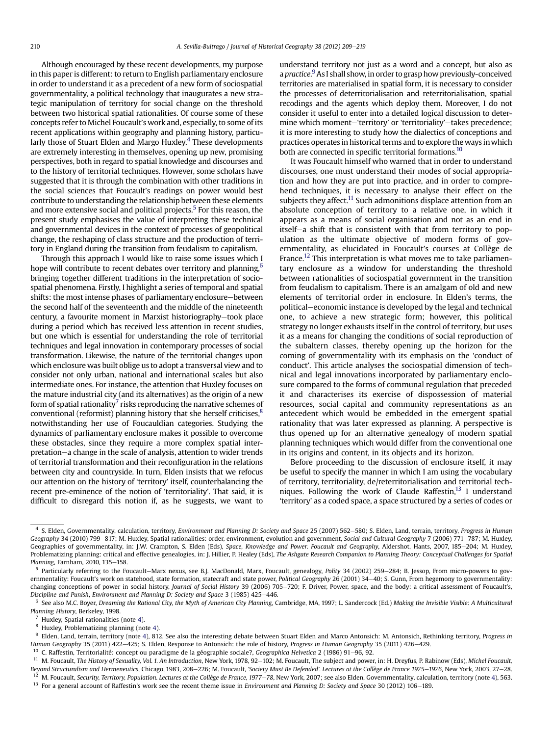<span id="page-1-0"></span>Although encouraged by these recent developments, my purpose in this paper is different: to return to English parliamentary enclosure in order to understand it as a precedent of a new form of sociospatial governmentality, a political technology that inaugurates a new strategic manipulation of territory for social change on the threshold between two historical spatial rationalities. Of course some of these concepts refer to Michel Foucault's work and, especially, to some of its recent applications within geography and planning history, particularly those of Stuart Elden and Margo Huxley.<sup>4</sup> These developments are extremely interesting in themselves, opening up new, promising perspectives, both in regard to spatial knowledge and discourses and to the history of territorial techniques. However, some scholars have suggested that it is through the combination with other traditions in the social sciences that Foucault's readings on power would best contribute to understanding the relationship between these elements and more extensive social and political projects.<sup>5</sup> For this reason, the present study emphasises the value of interpreting these technical and governmental devices in the context of processes of geopolitical change, the reshaping of class structure and the production of territory in England during the transition from feudalism to capitalism.

Through this approach I would like to raise some issues which I hope will contribute to recent debates over territory and planning,<sup>6</sup> bringing together different traditions in the interpretation of sociospatial phenomena. Firstly, I highlight a series of temporal and spatial shifts: the most intense phases of parliamentary enclosure-between the second half of the seventeenth and the middle of the nineteenth century, a favourite moment in Marxist historiography-took place during a period which has received less attention in recent studies, but one which is essential for understanding the role of territorial techniques and legal innovation in contemporary processes of social transformation. Likewise, the nature of the territorial changes upon which enclosure was built oblige us to adopt a transversal view and to consider not only urban, national and international scales but also intermediate ones. For instance, the attention that Huxley focuses on the mature industrial city (and its alternatives) as the origin of a new form of spatial rationality<sup> $\prime$ </sup> risks reproducing the narrative schemes of conventional (reformist) planning history that she herself criticises, $8$ notwithstanding her use of Foucauldian categories. Studying the dynamics of parliamentary enclosure makes it possible to overcome these obstacles, since they require a more complex spatial interpretation-a change in the scale of analysis, attention to wider trends of territorial transformation and their reconfiguration in the relations between city and countryside. In turn, Elden insists that we refocus our attention on the history of 'territory' itself, counterbalancing the recent pre-eminence of the notion of 'territoriality'. That said, it is difficult to disregard this notion if, as he suggests, we want to understand territory not just as a word and a concept, but also as a practice.<sup>9</sup> As I shall show, in order to grasp how previously-conceived territories are materialised in spatial form, it is necessary to consider the processes of deterritorialisation and reterritorialisation, spatial recodings and the agents which deploy them. Moreover, I do not consider it useful to enter into a detailed logical discussion to determine which moment-'territory' or 'territoriality'-takes precedence; it is more interesting to study how the dialectics of conceptions and practices operates in historical terms and to explore the ways inwhich both are connected in specific territorial formations.<sup>10</sup>

It was Foucault himself who warned that in order to understand discourses, one must understand their modes of social appropriation and how they are put into practice, and in order to comprehend techniques, it is necessary to analyse their effect on the subjects they affect.<sup>11</sup> Such admonitions displace attention from an absolute conception of territory to a relative one, in which it appears as a means of social organisation and not as an end in itself-a shift that is consistent with that from territory to population as the ultimate objective of modern forms of governmentality, as elucidated in Foucault's courses at Collège de France.<sup>12</sup> This interpretation is what moves me to take parliamentary enclosure as a window for understanding the threshold between rationalities of sociospatial government in the transition from feudalism to capitalism. There is an amalgam of old and new elements of territorial order in enclosure. In Elden's terms, the political-economic instance is developed by the legal and technical one, to achieve a new strategic form; however, this political strategy no longer exhausts itself in the control of territory, but uses it as a means for changing the conditions of social reproduction of the subaltern classes, thereby opening up the horizon for the coming of governmentality with its emphasis on the 'conduct of conduct'. This article analyses the sociospatial dimension of technical and legal innovations incorporated by parliamentary enclosure compared to the forms of communal regulation that preceded it and characterises its exercise of dispossession of material resources, social capital and community representations as an antecedent which would be embedded in the emergent spatial rationality that was later expressed as planning. A perspective is thus opened up for an alternative genealogy of modern spatial planning techniques which would differ from the conventional one in its origins and content, in its objects and its horizon.

Before proceeding to the discussion of enclosure itself, it may be useful to specify the manner in which I am using the vocabulary of territory, territoriality, de/reterritorialisation and territorial techniques. Following the work of Claude Raffestin, $13$  I understand 'territory' as a coded space, a space structured by a series of codes or

<sup>&</sup>lt;sup>4</sup> S. Elden, Governmentality, calculation, territory, Environment and Planning D: Society and Space 25 (2007) 562-580; S. Elden, Land, terrain, territory, Progress in Human Geography 34 (2010) 799-817; M. Huxley, Spatial rationalities: order, environment, evolution and government, Social and Cultural Geography 7 (2006) 771-787; M. Huxley, Geographies of governmentality, in: J.W. Crampton, S. Elden (Eds), Space, Knowledge and Power. Foucault and Geography, Aldershot, Hants, 2007, 185-204; M. Huxley, Problematizing planning: critical and effective genealogies, in: J. Hillier, P. Healey (Eds), The Ashgate Research Companion to Planning Theory: Conceptual Challenges for Spatial Planning, Farnham, 2010, 135-158.

<sup>&</sup>lt;sup>5</sup> Particularly referring to the Foucault-Marx nexus, see B.J. MacDonald, Marx, Foucault, genealogy, Polity 34 (2002) 259-284; B. Jessop, From micro-powers to governmentality: Foucault's work on statehood, state formation, statecraft and state power, Political Geography 26 (2001) 34-40; S. Gunn, From hegemony to governmentality: changing conceptions of power in social history, Journal of Social History 39 (2006) 705-720; F. Driver, Power, space, and the body: a critical assessment of Foucault's, Discipline and Punish, Environment and Planning D: Society and Space 3 (1985) 425-446.

See also M.C. Boyer, Dreaming the Rational City, the Myth of American City Planning, Cambridge, MA, 1997; L. Sandercock (Ed.) Making the Invisible Visible: A Multicultural Planning History, Berkeley, 1998.

Huxley, Spatial rationalities (note 4).

Huxley, Problematizing planning (note 4).

<sup>&</sup>lt;sup>9</sup> Elden, Land, terrain, territory (note 4), 812. See also the interesting debate between Stuart Elden and Marco Antonsich: M. Antonsich, Rethinking territory, Progress in Human Geography 35 (2011) 422-425; S. Elden, Response to Antonsich: the role of history, Progress in Human Geography 35 (2011) 426-429.

 $10$  C. Raffestin, Territorialité: concept ou paradigme de la géographie sociale?, Geographica Helvetica 2 (1986) 91–96, 92.

<sup>&</sup>lt;sup>11</sup> M. Foucault, The History of Sexuality, Vol. 1. An Introduction, New York, 1978, 92-102; M. Foucault, The subject and power, in: H. Dreyfus, P. Rabinow (Eds), Michel Foucault, Beyond Structuralism and Hermeneutics, Chicago, 1983, 208-226; M. Foucault, 'Society Must Be Defended'. Lectures at the Collège de France 1975-1976, New York, 2003, 27-28.

M. Foucault, Security, Territory, Population. Lectures at the Collège de France, 1977-78, New York, 2007; see also Elden, Governmentality, calculation, territory (note 4), 563.

 $13$  For a general account of Raffestin's work see the recent theme issue in Environment and Planning D: Society and Space 30 (2012) 106-189.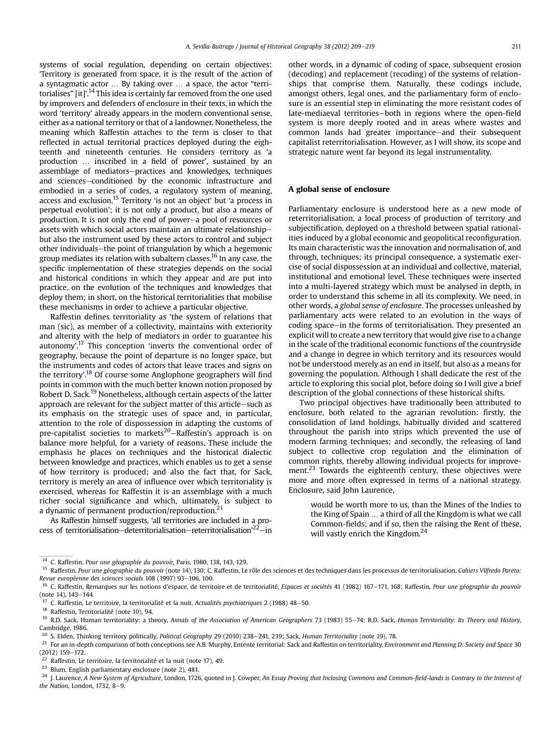<span id="page-2-0"></span>systems of social regulation, depending on certain objectives: 'Territory is generated from space, it is the result of the action of a syntagmatic actor ... By taking over ... a space, the actor "territorialises" [it]'.<sup>14</sup> This idea is certainly far removed from the one used by improvers and defenders of enclosure in their texts, in which the word 'territory' already appears in the modern conventional sense, either as a national territory or that of a landowner. Nonetheless, the meaning which Raffestin attaches to the term is closer to that reflected in actual territorial practices deployed during the eighteenth and nineteenth centuries. He considers territory as 'a production ... inscribed in a field of power', sustained by an assemblage of mediators-practices and knowledges, techniques and sciences-conditioned by the economic infrastructure and embodied in a series of codes, a regulatory system of meaning, access and exclusion.15 Territory 'is not an object' but 'a process in perpetual evolution'; it is not only a product, but also a means of production. It is not only the end of power-a pool of resources or assets with which social actors maintain an ultimate relationshipbut also the instrument used by these actors to control and subject other individuals-the point of triangulation by which a hegemonic group mediates its relation with subaltern classes.16 In any case, the specific implementation of these strategies depends on the social and historical conditions in which they appear and are put into practice, on the evolution of the techniques and knowledges that deploy them; in short, on the historical territorialities that mobilise these mechanisms in order to achieve a particular objective.

Raffestin defines territoriality as 'the system of relations that man (sic), as member of a collectivity, maintains with exteriority and alterity with the help of mediators in order to guarantee his autonomy'.<sup>17</sup> This conception 'inverts the conventional order of geography, because the point of departure is no longer space, but the instruments and codes of actors that leave traces and signs on the territory'.<sup>18</sup> Of course some Anglophone geographers will find points in common with the much better known notion proposed by Robert D. Sack.<sup>19</sup> Nonetheless, although certain aspects of the latter approach are relevant for the subject matter of this article-such as its emphasis on the strategic uses of space and, in particular, attention to the role of dispossession in adapting the customs of pre-capitalist societies to markets<sup>20</sup>-Raffestin's approach is on balance more helpful, for a variety of reasons. These include the emphasis he places on techniques and the historical dialectic between knowledge and practices, which enables us to get a sense of how territory is produced; and also the fact that, for Sack, territory is merely an area of influence over which territoriality is exercised, whereas for Raffestin it is an assemblage with a much richer social significance and which, ultimately, is subject to a dynamic of permanent production/reproduction.<sup>2</sup>

As Raffestin himself suggests, 'all territories are included in a process of territorialisation–deterritorialisation–reterritorialisation'<sup>22</sup>–in

other words, in a dynamic of coding of space, subsequent erosion (decoding) and replacement (recoding) of the systems of relationships that comprise them. Naturally, these codings include, amongst others, legal ones, and the parliamentary form of enclosure is an essential step in eliminating the more resistant codes of late-mediaeval territories-both in regions where the open-field system is more deeply rooted and in areas where wastes and common lands had greater importance-and their subsequent capitalist reterritorialisation. However, as I will show, its scope and strategic nature went far beyond its legal instrumentality.

### A global sense of enclosure

Parliamentary enclosure is understood here as a new mode of reterritorialisation, a local process of production of territory and subjectification, deployed on a threshold between spatial rationalities induced by a global economic and geopolitical reconfiguration. Its main characteristic was the innovation and normalisation of, and through, techniques; its principal consequence, a systematic exercise of social dispossession at an individual and collective, material, institutional and emotional level. These techniques were inserted into a multi-layered strategy which must be analysed in depth, in order to understand this scheme in all its complexity. We need, in other words, a global sense of enclosure. The processes unleashed by parliamentary acts were related to an evolution in the ways of coding space—in the forms of territorialisation. They presented an explicit will to create a new territory that would give rise to a change in the scale of the traditional economic functions of the countryside and a change in degree in which territory and its resources would not be understood merely as an end in itself, but also as a means for governing the population. Although I shall dedicate the rest of the article to exploring this social plot, before doing so I will give a brief description of the global connections of these historical shifts.

Two principal objectives have traditionally been attributed to enclosure, both related to the agrarian revolution: firstly, the consolidation of land holdings, habitually divided and scattered throughout the parish into strips which prevented the use of modern farming techniques; and secondly, the releasing of land subject to collective crop regulation and the elimination of common rights, thereby allowing individual projects for improvement.<sup>23</sup> Towards the eighteenth century, these objectives were more and more often expressed in terms of a national strategy. Enclosure, said John Laurence,

would be worth more to us, than the Mines of the Indies to the King of Spain . a third of all the Kingdom is what we call Common-fields; and if so, then the raising the Rent of these, will vastly enrich the Kingdom.<sup>24</sup>

<sup>24</sup> J. Laurence, A New System of Agriculture, London, 1726, quoted in J. Cowper, An Essay Proving that Inclosing Commons and Common-field-lands is Contrary to the Interest of the Nation, London, 1732,  $8-9$ .

<sup>&</sup>lt;sup>14</sup> C. Raffestin, *Pour une géographie du pouvoir*, Paris, 1980, 138, 143, 129.<br><sup>15</sup> Raffestin, *Pour une géographie du pouvoir* (pote 14), 130; C. Raffestin, Le

Raffestin, Pour une géographie du pouvoir (note 14), 130; C. Raffestin, Le rôle des sciences et des techniques dans les processus de territorialisation, Cahiers Vilfredo Pareto: Revue européenne des sciences socials 108 (1997) 93-106, 100.

<sup>&</sup>lt;sup>16</sup> C. Raffestin, Remarques sur les notions d'espace, de territoire et de territorialité, Espaces et sociétés 41 (1982) 167-171, 168; Raffestin, Pour une géographie du pouvoir  $(note 14)$ ,  $143-144$ .

<sup>&</sup>lt;sup>17</sup> C. Raffestin, Le territoire, la territorialité et la nuit, Actualités psychiatriques 2 (1988) 48–50.<br><sup>18</sup> Beffective Territorialité (sets 10) 04.

<sup>18</sup> Raffestin, Territorialité (note [10](#page-1-0)), 94.

<sup>&</sup>lt;sup>19</sup> R.D. Sack, Human territoriality: a theory, Annals of the Association of American Geographers 73 (1983) 55-74; R.D. Sack, Human Territoriality: Its Theory and History, Cambridge, 1986.

 $^{20}$  S. Elden, Thinking territory politically, Political Geography 29 (2010) 238-241, 239; Sack, Human Territoriality (note 19), 78.

<sup>&</sup>lt;sup>21</sup> For an in-depth comparison of both conceptions see A.B. Murphy, Entente territorial: Sack and Raffestin on territoriality, Environment and Planning D: Society and Space 30  $(2012)$  159-172.

 $22$  Raffestin, Le territoire, la territorialité et la nuit (note 17), 49.

<sup>23</sup> Blum, English parliamentary enclosure (note [2\)](#page-0-0), 481.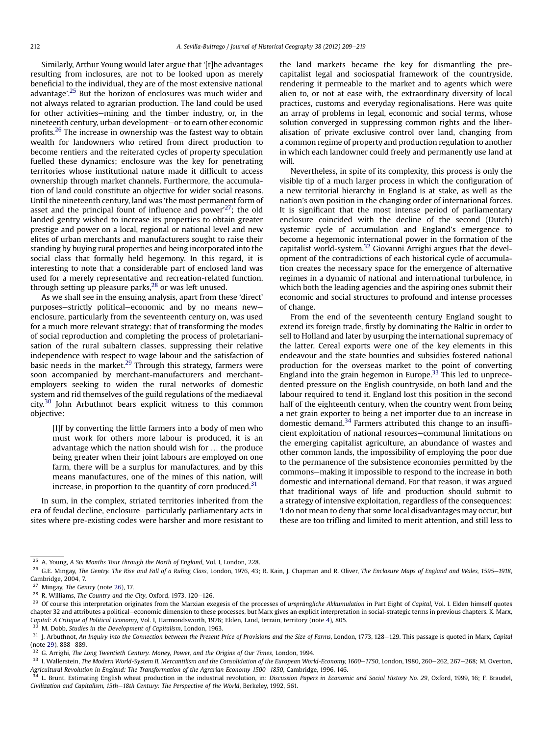<span id="page-3-0"></span>Similarly, Arthur Young would later argue that '[t]he advantages resulting from inclosures, are not to be looked upon as merely beneficial to the individual, they are of the most extensive national advantage'. <sup>25</sup> But the horizon of enclosures was much wider and not always related to agrarian production. The land could be used for other activities–mining and the timber industry, or, in the nineteenth century, urban development-or to earn other economic profits.<sup>26</sup> The increase in ownership was the fastest way to obtain wealth for landowners who retired from direct production to become rentiers and the reiterated cycles of property speculation fuelled these dynamics; enclosure was the key for penetrating territories whose institutional nature made it difficult to access ownership through market channels. Furthermore, the accumulation of land could constitute an objective for wider social reasons. Until the nineteenth century, land was 'the most permanent form of asset and the principal fount of influence and power'<sup>27</sup>; the old landed gentry wished to increase its properties to obtain greater prestige and power on a local, regional or national level and new elites of urban merchants and manufacturers sought to raise their standing by buying rural properties and being incorporated into the social class that formally held hegemony. In this regard, it is interesting to note that a considerable part of enclosed land was used for a merely representative and recreation-related function, through setting up pleasure parks, $28$  or was left unused.

As we shall see in the ensuing analysis, apart from these 'direct' purposes-strictly political-economic and by no means newenclosure, particularly from the seventeenth century on, was used for a much more relevant strategy: that of transforming the modes of social reproduction and completing the process of proletarianisation of the rural subaltern classes, suppressing their relative independence with respect to wage labour and the satisfaction of basic needs in the market.<sup>29</sup> Through this strategy, farmers were soon accompanied by merchant-manufacturers and merchantemployers seeking to widen the rural networks of domestic system and rid themselves of the guild regulations of the mediaeval city.<sup>30</sup> John Arbuthnot bears explicit witness to this common objective:

[I]f by converting the little farmers into a body of men who must work for others more labour is produced, it is an advantage which the nation should wish for ... the produce being greater when their joint labours are employed on one farm, there will be a surplus for manufactures, and by this means manufactures, one of the mines of this nation, will increase, in proportion to the quantity of corn produced. $31$ 

In sum, in the complex, striated territories inherited from the era of feudal decline, enclosure-particularly parliamentary acts in sites where pre-existing codes were harsher and more resistant to the land markets-became the key for dismantling the precapitalist legal and sociospatial framework of the countryside, rendering it permeable to the market and to agents which were alien to, or not at ease with, the extraordinary diversity of local practices, customs and everyday regionalisations. Here was quite an array of problems in legal, economic and social terms, whose solution converged in suppressing common rights and the liberalisation of private exclusive control over land, changing from a common regime of property and production regulation to another in which each landowner could freely and permanently use land at will.

Nevertheless, in spite of its complexity, this process is only the visible tip of a much larger process in which the configuration of a new territorial hierarchy in England is at stake, as well as the nation's own position in the changing order of international forces. It is significant that the most intense period of parliamentary enclosure coincided with the decline of the second (Dutch) systemic cycle of accumulation and England's emergence to become a hegemonic international power in the formation of the capitalist world-system.<sup>32</sup> Giovanni Arrighi argues that the development of the contradictions of each historical cycle of accumulation creates the necessary space for the emergence of alternative regimes in a dynamic of national and international turbulence, in which both the leading agencies and the aspiring ones submit their economic and social structures to profound and intense processes of change.

From the end of the seventeenth century England sought to extend its foreign trade, firstly by dominating the Baltic in order to sell to Holland and later by usurping the international supremacy of the latter. Cereal exports were one of the key elements in this endeavour and the state bounties and subsidies fostered national production for the overseas market to the point of converting England into the grain hegemon in Europe.<sup>33</sup> This led to unprecedented pressure on the English countryside, on both land and the labour required to tend it. England lost this position in the second half of the eighteenth century, when the country went from being a net grain exporter to being a net importer due to an increase in domestic demand.<sup>34</sup> Farmers attributed this change to an insufficient exploitation of national resources-communal limitations on the emerging capitalist agriculture, an abundance of wastes and other common lands, the impossibility of employing the poor due to the permanence of the subsistence economies permitted by the commons-making it impossible to respond to the increase in both domestic and international demand. For that reason, it was argued that traditional ways of life and production should submit to a strategy of intensive exploitation, regardless of the consequences: 'I do not mean to deny that some local disadvantages may occur, but these are too trifling and limited to merit attention, and still less to

<sup>&</sup>lt;sup>25</sup> A. Young, A Six Months Tour through the North of England, Vol. I, London, 228.

<sup>&</sup>lt;sup>26</sup> G.E. Mingay, The Gentry. The Rise and Fall of a Ruling Class, London, 1976, 43; R. Kain, J. Chapman and R. Oliver, The Enclosure Maps of England and Wales, 1595–1918, Cambridge, 2004, 7.

<sup>&</sup>lt;sup>27</sup> Mingay, *The Gentry* (note 26), 17.

 $28$  R. Williams, The Country and the City, Oxford, 1973, 120-126.

<sup>&</sup>lt;sup>29</sup> Of course this interpretation originates from the Marxian exegesis of the processes of *ursprüngliche Akkumulation* in Part Eight of Capital, Vol. I. Elden himself quotes chapter 32 and attributes a political–economic dimension to these processes, but Marx gives an explicit interpretation in social-strategic terms in previous chapters. K. Marx, Capital: A Critique of Political Economy, Vol. I, Harmondsworth, 1976; Elden, Land, terrain, territory (note [4\)](#page-1-0), 805.

M. Dobb, Studies in the Development of Capitalism, London, 1963.

<sup>&</sup>lt;sup>31</sup> J. Arbuthnot, An Inquiry into the Connection between the Present Price of Provisions and the Size of Farms, London, 1773, 128-129. This passage is quoted in Marx, Capital (note 29), 888-889.

<sup>&</sup>lt;sup>32</sup> G. Arrighi, The Long Twentieth Century. Money, Power, and the Origins of Our Times, London, 1994.

<sup>&</sup>lt;sup>33</sup> I. Wallerstein, The Modern World-System II. Mercantilism and the Consolidation of the European World-Economy, 1600–1750, London, 1980, 260–262, 267–268; M. Overton, Agricultural Revolution in England: The Transformation of the Agrarian Economy 1500-1850, Cambridge, 1996, 146.

<sup>&</sup>lt;sup>1</sup>L. Brunt, Estimating English wheat production in the industrial revolution, in: Discussion Papers in Economic and Social History No. 29, Oxford, 1999, 16; F. Braudel, Civilization and Capitalism, 15th-18th Century: The Perspective of the World, Berkeley, 1992, 561.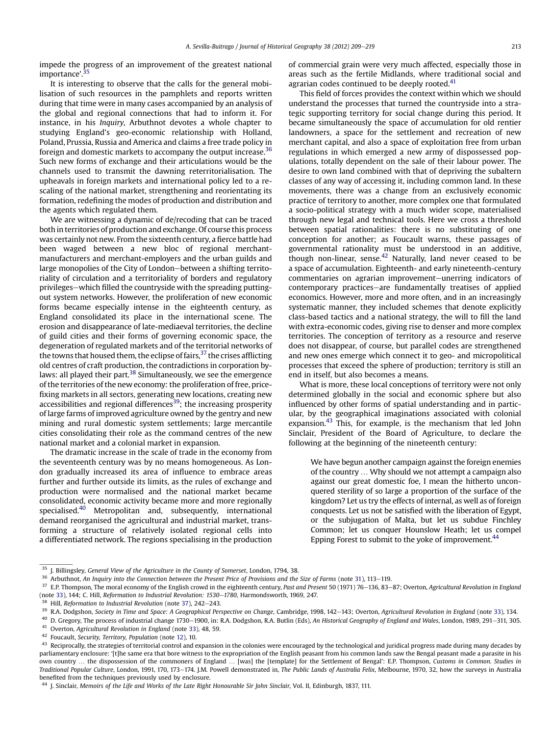<span id="page-4-0"></span>impede the progress of an improvement of the greatest national importance'. 35

It is interesting to observe that the calls for the general mobilisation of such resources in the pamphlets and reports written during that time were in many cases accompanied by an analysis of the global and regional connections that had to inform it. For instance, in his Inquiry, Arbuthnot devotes a whole chapter to studying England's geo-economic relationship with Holland, Poland, Prussia, Russia and America and claims a free trade policy in foreign and domestic markets to accompany the output increase.<sup>36</sup> Such new forms of exchange and their articulations would be the channels used to transmit the dawning reterritorialisation. The upheavals in foreign markets and international policy led to a rescaling of the national market, strengthening and reorientating its formation, redefining the modes of production and distribution and the agents which regulated them.

We are witnessing a dynamic of de/recoding that can be traced both in territories of production and exchange. Of course this process was certainly not new. From the sixteenth century, a fierce battle had been waged between a new bloc of regional merchantmanufacturers and merchant-employers and the urban guilds and large monopolies of the City of London-between a shifting territoriality of circulation and a territoriality of borders and regulatory privileges-which filled the countryside with the spreading puttingout system networks. However, the proliferation of new economic forms became especially intense in the eighteenth century, as England consolidated its place in the international scene. The erosion and disappearance of late-mediaeval territories, the decline of guild cities and their forms of governing economic space, the degeneration of regulated markets and of the territorial networks of the towns that housed them, the eclipse of fairs,  $37$  the crises afflicting old centres of craft production, the contradictions in corporation bylaws: all played their part.<sup>38</sup> Simultaneously, we see the emergence of the territories of the new economy: the proliferation of free, pricefixing markets in all sectors, generating new locations, creating new  $accessibilities$  and regional differences<sup>39</sup>; the increasing prosperity of large farms of improved agriculture owned by the gentry and new mining and rural domestic system settlements; large mercantile cities consolidating their role as the command centres of the new national market and a colonial market in expansion.

The dramatic increase in the scale of trade in the economy from the seventeenth century was by no means homogeneous. As London gradually increased its area of influence to embrace areas further and further outside its limits, as the rules of exchange and production were normalised and the national market became consolidated, economic activity became more and more regionally specialised.40 Metropolitan and, subsequently, international demand reorganised the agricultural and industrial market, transforming a structure of relatively isolated regional cells into a differentiated network. The regions specialising in the production of commercial grain were very much affected, especially those in areas such as the fertile Midlands, where traditional social and agrarian codes continued to be deeply rooted. $41$ 

This field of forces provides the context within which we should understand the processes that turned the countryside into a strategic supporting territory for social change during this period. It became simultaneously the space of accumulation for old rentier landowners, a space for the settlement and recreation of new merchant capital, and also a space of exploitation free from urban regulations in which emerged a new army of dispossessed populations, totally dependent on the sale of their labour power. The desire to own land combined with that of depriving the subaltern classes of any way of accessing it, including common land. In these movements, there was a change from an exclusively economic practice of territory to another, more complex one that formulated a socio-political strategy with a much wider scope, materialised through new legal and technical tools. Here we cross a threshold between spatial rationalities: there is no substituting of one conception for another; as Foucault warns, these passages of governmental rationality must be understood in an additive, though non-linear, sense. $42$  Naturally, land never ceased to be a space of accumulation. Eighteenth- and early nineteenth-century commentaries on agrarian improvement-unerring indicators of contemporary practices-are fundamentally treatises of applied economics. However, more and more often, and in an increasingly systematic manner, they included schemes that denote explicitly class-based tactics and a national strategy, the will to fill the land with extra-economic codes, giving rise to denser and more complex territories. The conception of territory as a resource and reserve does not disappear, of course, but parallel codes are strengthened and new ones emerge which connect it to geo- and micropolitical processes that exceed the sphere of production; territory is still an end in itself, but also becomes a means.

What is more, these local conceptions of territory were not only determined globally in the social and economic sphere but also influenced by other forms of spatial understanding and in particular, by the geographical imaginations associated with colonial expansion.<sup>43</sup> This, for example, is the mechanism that led John Sinclair, President of the Board of Agriculture, to declare the following at the beginning of the nineteenth century:

We have begun another campaign against the foreign enemies of the country ... Why should we not attempt a campaign also against our great domestic foe, I mean the hitherto unconquered sterility of so large a proportion of the surface of the kingdom? Let us try the effects of internal, as well as of foreign conquests. Let us not be satisfied with the liberation of Egypt, or the subjugation of Malta, but let us subdue Finchley Common; let us conquer Hounslow Heath; let us compel Epping Forest to submit to the yoke of improvement.<sup>44</sup>

<sup>44</sup> J. Sinclair, Memoirs of the Life and Works of the Late Right Honourable Sir John Sinclair, Vol. II, Edinburgh, 1837, 111.

<sup>&</sup>lt;sup>35</sup> J. Billingsley, General View of the Agriculture in the County of Somerset, London, 1794, 38.

<sup>&</sup>lt;sup>36</sup> Arbuthnot, An Inquiry into the Connection between the Present Price of Provisions and the Size of Farms (note [31](#page-3-0)), 113–119.<br><sup>37</sup> E.D. Thompson, The moral economy of the English ground in the eighteenth contumulated p

E.P. Thompson, The moral economy of the English crowd in the eighteenth century, Past and Present 50 (1971) 76–136, 83–87; Overton, Agricultural Revolution in England (note [33](#page-3-0)), 144; C. Hill, Reformation to Industrial Revolution: 1530-1780, Harmondsworth, 1969, 247.

<sup>&</sup>lt;sup>38</sup> Hill, Reformation to Industrial Revolution (note 37), 242–243.

<sup>&</sup>lt;sup>39</sup> R.A. Dodgshon, Society in Time and Space: A Geographical Perspective on Change, Cambridge, 1998, 142–143; Overton, Agricultural Revolution in England (note [33\)](#page-3-0), 134.<br><sup>40</sup> D. Crogary The process of industrial change 1

<sup>&</sup>lt;sup>40</sup> D. Gregory, The process of industrial change 1730–1900, in: R.A. Dodgshon, R.A. Butlin (Eds), An Historical Geography of England and Wales, London, 1989, 291–311, 305.<br><sup>41</sup> Overton, Agricultural Pauglution in England

<sup>41</sup> Overton, Agricultural Revolution in England (note [33\)](#page-3-0), 48, 59.

<sup>42</sup> Foucault, Security, Territory, Population (note [12\)](#page-1-0), 10.

 $43$  Reciprocally, the strategies of territorial control and expansion in the colonies were encouraged by the technological and juridical progress made during many decades by parliamentary enclosure: '[t]he same era that bore witness to the expropriation of the English peasant from his common lands saw the Bengal peasant made a parasite in his own country ... the dispossession of the commoners of England ... [was] the [template] for the Settlement of Bengal': E.P. Thompson, Customs in Common. Studies in Traditional Popular Culture, London, 1991, 170, 173-174. J.M. Powell demonstrated in, The Public Lands of Australia Felix, Melbourne, 1970, 32, how the surveys in Australia benefited from the techniques previously used by enclosure.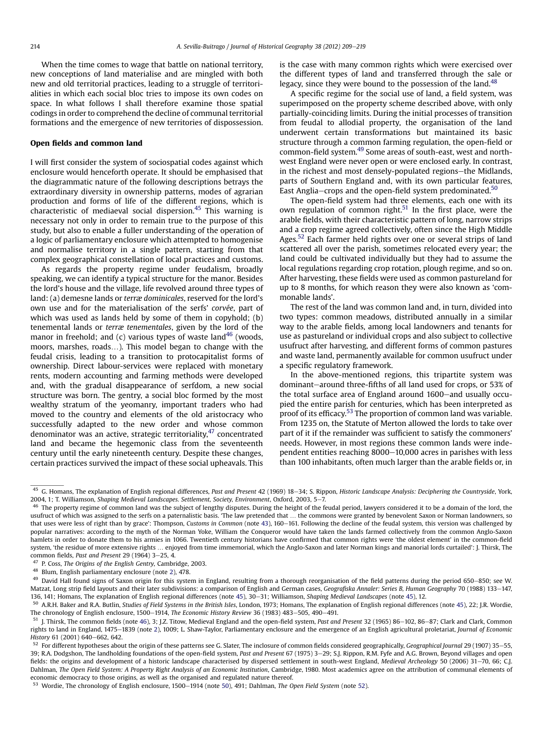<span id="page-5-0"></span>When the time comes to wage that battle on national territory, new conceptions of land materialise and are mingled with both new and old territorial practices, leading to a struggle of territorialities in which each social bloc tries to impose its own codes on space. In what follows I shall therefore examine those spatial codings in order to comprehend the decline of communal territorial formations and the emergence of new territories of dispossession.

### Open fields and common land

I will first consider the system of sociospatial codes against which enclosure would henceforth operate. It should be emphasised that the diagrammatic nature of the following descriptions betrays the extraordinary diversity in ownership patterns, modes of agrarian production and forms of life of the different regions, which is characteristic of mediaeval social dispersion.<sup>45</sup> This warning is necessary not only in order to remain true to the purpose of this study, but also to enable a fuller understanding of the operation of a logic of parliamentary enclosure which attempted to homogenise and normalise territory in a single pattern, starting from that complex geographical constellation of local practices and customs.

As regards the property regime under feudalism, broadly speaking, we can identify a typical structure for the manor. Besides the lord's house and the village, life revolved around three types of land: (a) demesne lands or terræ dominicales, reserved for the lord's own use and for the materialisation of the serfs' corvée, part of which was used as lands held by some of them in copyhold; (b) tenemental lands or terræ tenementales, given by the lord of the manor in freehold; and (c) various types of waste land $46$  (woods, moors, marshes, roads...). This model began to change with the feudal crisis, leading to a transition to protocapitalist forms of ownership. Direct labour-services were replaced with monetary rents, modern accounting and farming methods were developed and, with the gradual disappearance of serfdom, a new social structure was born. The gentry, a social bloc formed by the most wealthy stratum of the yeomanry, important traders who had moved to the country and elements of the old aristocracy who successfully adapted to the new order and whose common denominator was an active, strategic territoriality, $47$  concentrated land and became the hegemonic class from the seventeenth century until the early nineteenth century. Despite these changes, certain practices survived the impact of these social upheavals. This is the case with many common rights which were exercised over the different types of land and transferred through the sale or legacy, since they were bound to the possession of the land.<sup>48</sup>

A specific regime for the social use of land, a field system, was superimposed on the property scheme described above, with only partially-coinciding limits. During the initial processes of transition from feudal to allodial property, the organisation of the land underwent certain transformations but maintained its basic structure through a common farming regulation, the open-field or common-field system.49 Some areas of south-east, west and northwest England were never open or were enclosed early. In contrast, in the richest and most densely-populated regions-the Midlands, parts of Southern England and, with its own particular features, East Anglia–crops and the open-field system predominated. $50$ 

The open-field system had three elements, each one with its own regulation of common right.<sup>51</sup> In the first place, were the arable fields, with their characteristic pattern of long, narrow strips and a crop regime agreed collectively, often since the High Middle Ages.<sup>52</sup> Each farmer held rights over one or several strips of land scattered all over the parish, sometimes relocated every year; the land could be cultivated individually but they had to assume the local regulations regarding crop rotation, plough regime, and so on. After harvesting, these fields were used as common pastureland for up to 8 months, for which reason they were also known as 'commonable lands'.

The rest of the land was common land and, in turn, divided into two types: common meadows, distributed annually in a similar way to the arable fields, among local landowners and tenants for use as pastureland or individual crops and also subject to collective usufruct after harvesting, and different forms of common pastures and waste land, permanently available for common usufruct under a specific regulatory framework.

In the above-mentioned regions, this tripartite system was dominant-around three-fifths of all land used for crops, or 53% of the total surface area of England around 1600-and usually occupied the entire parish for centuries, which has been interpreted as proof of its efficacy.<sup>53</sup> The proportion of common land was variable. From 1235 on, the Statute of Merton allowed the lords to take over part of it if the remainder was sufficient to satisfy the commoners' needs. However, in most regions these common lands were independent entities reaching 8000-10,000 acres in parishes with less than 100 inhabitants, often much larger than the arable fields or, in

 $45$  G. Homans, The explanation of English regional differences, Past and Present 42 (1969) 18–34; S. Rippon, Historic Landscape Analysis: Deciphering the Countryside, York, 2004, 1; T. Williamson, Shaping Medieval Landscapes. Settlement, Society, Environment, Oxford, 2003, 5-7.

<sup>&</sup>lt;sup>46</sup> The property regime of common land was the subject of lengthy disputes. During the height of the feudal period, lawyers considered it to be a domain of the lord, the usufruct of which was assigned to the serfs on a paternalistic basis. 'The law pretended that . the commons were granted by benevolent Saxon or Norman landowners, so that uses were less of right than by grace': Thompson, Customs in Common (note [43\)](#page-4-0), 160-161. Following the decline of the feudal system, this version was challenged by popular narratives: according to the myth of the Norman Yoke, William the Conqueror would have taken the lands farmed collectively from the common Anglo-Saxon hamlets in order to donate them to his armies in 1066. Twentieth century historians have confirmed that common rights were 'the oldest element' in the common-field system, 'the residue of more extensive rights ... enjoyed from time immemorial, which the Anglo-Saxon and later Norman kings and manorial lords curtailed': J. Thirsk, The common fields, Past and Present 29 (1964) 3-25, 4.

P. Coss, The Origins of the English Gentry, Cambridge, 2003.

<sup>48</sup> Blum, English parliamentary enclosure (note [2\)](#page-0-0), 478.

<sup>&</sup>lt;sup>49</sup> David Hall found signs of Saxon origin for this system in England, resulting from a thorough reorganisation of the field patterns during the period 650–850; see W. Matzat, Long strip field layouts and their later subdivisions: a comparison of English and German cases, Geografiska Annaler: Series B, Human Geography 70 (1988) 133-147, 136, 141; Homans, The explanation of English regional differences (note 45), 30–31; Williamson, Shaping Medieval Landscapes (note 45), 12.

<sup>&</sup>lt;sup>50</sup> A.R.H. Baker and R.A. Butlin, Studies of Field Systems in the British Isles, London, 1973; Homans, The explanation of English regional differences (note 45), 22; J.R. Wordie, The chronology of English enclosure, 1500-1914, The Economic History Review 36 (1983) 483-505, 490-491.

 $51$  J. Thirsk, The common fields (note 46), 3; J.Z. Titow, Medieval England and the open-field system, Past and Present 32 (1965) 86-102, 86-87; Clark and Clark, Common rights to land in England, 1475-1839 (note [2](#page-0-0)), 1009; L. Shaw-Taylor, Parliamentary enclosure and the emergence of an English agricultural proletariat, Journal of Economic History 61 (2001) 640-662, 642.

 $52$  For different hypotheses about the origin of these patterns see G. Slater, The inclosure of common fields considered geographically, Geographical Journal 29 (1907) 35–55, 39; R.A. Dodgshon, The landholding foundations of the open-field system, Past and Present 67 (1975) 3-29; S.J. Rippon, R.M. Fyfe and A.G. Brown, Beyond villages and open fields: the origins and development of a historic landscape characterised by dispersed settlement in south-west England, Medieval Archeology 50 (2006) 31-70, 66; C.J. Dahlman, The Open Field System: A Property Right Analysis of an Economic Institution, Cambridge, 1980. Most academics agree on the attribution of communal elements of economic democracy to those origins, as well as the organised and regulated nature thereof.

<sup>53</sup> Wordie, The chronology of English enclosure, 1500-1914 (note 50), 491; Dahlman, The Open Field System (note 52).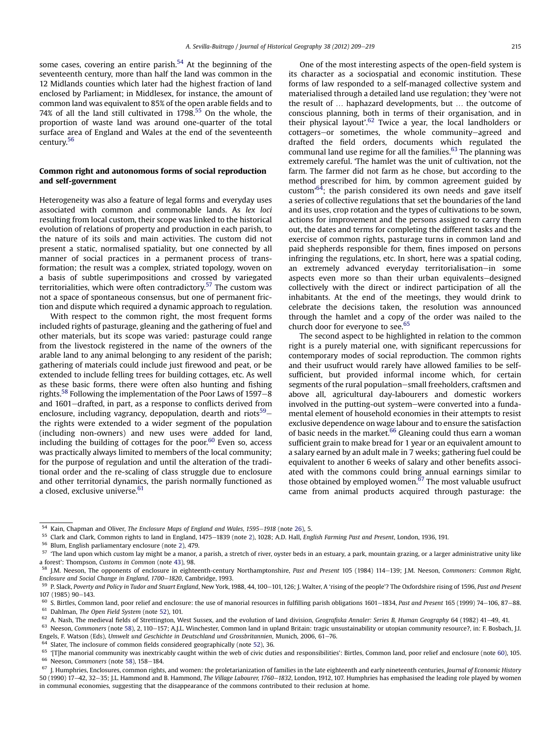<span id="page-6-0"></span>some cases, covering an entire parish.<sup>54</sup> At the beginning of the seventeenth century, more than half the land was common in the 12 Midlands counties which later had the highest fraction of land enclosed by Parliament; in Middlesex, for instance, the amount of common land was equivalent to 85% of the open arable fields and to 74% of all the land still cultivated in 1798.<sup>55</sup> On the whole, the proportion of waste land was around one-quarter of the total surface area of England and Wales at the end of the seventeenth century.56

## Common right and autonomous forms of social reproduction and self-government

Heterogeneity was also a feature of legal forms and everyday uses associated with common and commonable lands. As lex loci resulting from local custom, their scope was linked to the historical evolution of relations of property and production in each parish, to the nature of its soils and main activities. The custom did not present a static, normalised spatiality, but one connected by all manner of social practices in a permanent process of transformation; the result was a complex, striated topology, woven on a basis of subtle superimpositions and crossed by variegated territorialities, which were often contradictory.<sup>57</sup> The custom was not a space of spontaneous consensus, but one of permanent friction and dispute which required a dynamic approach to regulation.

With respect to the common right, the most frequent forms included rights of pasturage, gleaning and the gathering of fuel and other materials, but its scope was varied: pasturage could range from the livestock registered in the name of the owners of the arable land to any animal belonging to any resident of the parish; gathering of materials could include just firewood and peat, or be extended to include felling trees for building cottages, etc. As well as these basic forms, there were often also hunting and fishing rights.<sup>58</sup> Following the implementation of the Poor Laws of 1597–8 and 1601–drafted, in part, as a response to conflicts derived from enclosure, including vagrancy, depopulation, dearth and riots<sup>59</sup> $$ the rights were extended to a wider segment of the population (including non-owners) and new uses were added for land, including the building of cottages for the poor. $60$  Even so, access was practically always limited to members of the local community; for the purpose of regulation and until the alteration of the traditional order and the re-scaling of class struggle due to enclosure and other territorial dynamics, the parish normally functioned as a closed, exclusive universe.<sup>61</sup>

One of the most interesting aspects of the open-field system is its character as a sociospatial and economic institution. These forms of law responded to a self-managed collective system and materialised through a detailed land use regulation; they 'were not the result of ... haphazard developments, but ... the outcome of conscious planning, both in terms of their organisation, and in their physical layout'.<sup>62</sup> Twice a year, the local landholders or cottagers-or sometimes, the whole community-agreed and drafted the field orders, documents which regulated the communal land use regime for all the families. $63$  The planning was extremely careful. 'The hamlet was the unit of cultivation, not the farm. The farmer did not farm as he chose, but according to the method prescribed for him, by common agreement guided by custom<sup>,64</sup>; the parish considered its own needs and gave itself a series of collective regulations that set the boundaries of the land and its uses, crop rotation and the types of cultivations to be sown, actions for improvement and the persons assigned to carry them out, the dates and terms for completing the different tasks and the exercise of common rights, pasturage turns in common land and paid shepherds responsible for them, fines imposed on persons infringing the regulations, etc. In short, here was a spatial coding, an extremely advanced everyday territorialisation-in some aspects even more so than their urban equivalents-designed collectively with the direct or indirect participation of all the inhabitants. At the end of the meetings, they would drink to celebrate the decisions taken, the resolution was announced through the hamlet and a copy of the order was nailed to the church door for everyone to see.<sup>65</sup>

The second aspect to be highlighted in relation to the common right is a purely material one, with significant repercussions for contemporary modes of social reproduction. The common rights and their usufruct would rarely have allowed families to be selfsufficient, but provided informal income which, for certain segments of the rural population-small freeholders, craftsmen and above all, agricultural day-labourers and domestic workers involved in the putting-out system–were converted into a fundamental element of household economies in their attempts to resist exclusive dependence on wage labour and to ensure the satisfaction of basic needs in the market.<sup>66</sup> Gleaning could thus earn a woman sufficient grain to make bread for 1 year or an equivalent amount to a salary earned by an adult male in 7 weeks; gathering fuel could be equivalent to another 6 weeks of salary and other benefits associated with the commons could bring annual earnings similar to those obtained by employed women. $67$  The most valuable usufruct came from animal products acquired through pasturage: the

<sup>&</sup>lt;sup>54</sup> Kain, Chapman and Oliver, *The Enclosure Maps of England and Wales, 1595–1918* (note [26\)](#page-3-0), 5.<br><sup>55</sup> Clark and Clark, Common rights to land in England, 1475, 1920 (note 2), 1938, A.D. Uall, Fag

Clark and Clark, Common rights to land in England, 1475-1839 (note [2](#page-0-0)), 1028; A.D. Hall, English Farming Past and Present, London, 1936, 191.

Blum. English parliamentary enclosure (note [2\)](#page-0-0), 479.

 $57$  'The land upon which custom lay might be a manor, a parish, a stretch of river, oyster beds in an estuary, a park, mountain grazing, or a larger administrative unity like a forest': Thompson, Customs in Common (note [43](#page-4-0)), 98.

J.M. Neeson, The opponents of enclosure in eighteenth-century Northamptonshire, Past and Present 105 (1984) 114-139; J.M. Neeson, Commoners: Common Right, Enclosure and Social Change in England, 1700-1820, Cambridge, 1993.

<sup>59</sup> P. Slack, Poverty and Policy in Tudor and Stuart England, New York, 1988, 44, 100-101, 126; J. Walter, A 'rising of the people'? The Oxfordshire rising of 1596, Past and Present 107 (1985) 90-143.

<sup>&</sup>lt;sup>60</sup> S. Birtles, Common land, poor relief and enclosure: the use of manorial resources in fulfilling parish obligations 1601–1834, Past and Present 165 (1999) 74–106, 87–88.<br><sup>61</sup> Daklasses Title Costum (asts 52) 191

<sup>&</sup>lt;sup>61</sup> Dahlman, *The Open Field System* (note [52\)](#page-5-0), 101.<br><sup>62</sup> A Nash The medieval fields of Strettington W A. Nash, The medieval fields of Strettington, West Sussex, and the evolution of land division, Geografiska Annaler: Series B, Human Geography 64 (1982) 41-49, 41.

 $63$  Neeson, Commoners (note 58), 2, 110–157; A.J.L. Winchester, Common land in upland Britain: tragic unsustainability or utopian community resource?, in: F. Bosbach, J.L. Engels, F. Watson (Eds), Umwelt und Geschichte in Deutschland und Grossbritannien, Munich, 2006, 61–76.

Slater, The inclosure of common fields considered geographically (note [52](#page-5-0)), 36.

 $65$  '[T]he manorial community was inextricably caught within the web of civic duties and responsibilities': Birtles, Common land, poor relief and enclosure (note 60), 105.  $66$  Neeson, Commoners (note 58), 158-184.

 $67$  J. Humphries, Enclosures, common rights, and women: the proletarianization of families in the late eighteenth and early nineteenth centuries, Journal of Economic History 50 (1990) 17-42, 32-35; J.L. Hammond and B. Hammond, The Village Labourer, 1760-1832, London, 1912, 107. Humphries has emphasised the leading role played by women in communal economies, suggesting that the disappearance of the commons contributed to their reclusion at home.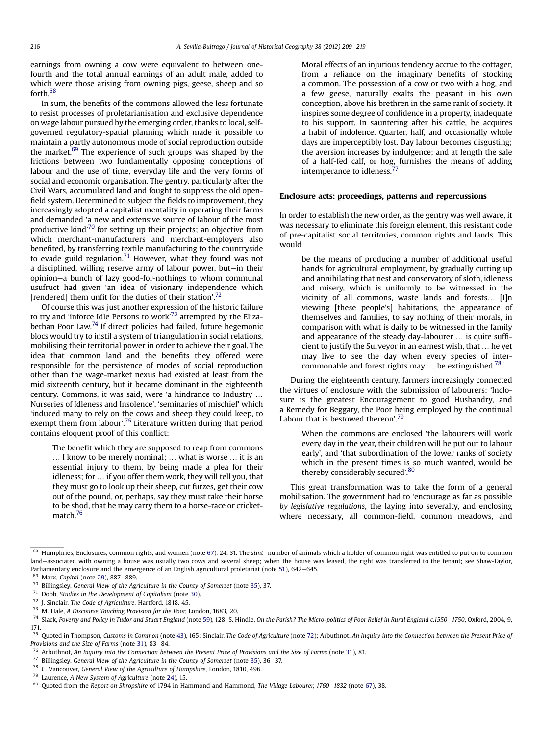<span id="page-7-0"></span>earnings from owning a cow were equivalent to between onefourth and the total annual earnings of an adult male, added to which were those arising from owning pigs, geese, sheep and so forth.68

In sum, the benefits of the commons allowed the less fortunate to resist processes of proletarianisation and exclusive dependence on wage labour pursued by the emerging order, thanks to local, selfgoverned regulatory-spatial planning which made it possible to maintain a partly autonomous mode of social reproduction outside the market. $69$  The experience of such groups was shaped by the frictions between two fundamentally opposing conceptions of labour and the use of time, everyday life and the very forms of social and economic organisation. The gentry, particularly after the Civil Wars, accumulated land and fought to suppress the old openfield system. Determined to subject the fields to improvement, they increasingly adopted a capitalist mentality in operating their farms and demanded 'a new and extensive source of labour of the most productive kind'<sup>70</sup> for setting up their projects; an objective from which merchant-manufacturers and merchant-employers also benefited, by transferring textile manufacturing to the countryside to evade guild regulation.<sup>71</sup> However, what they found was not a disciplined, willing reserve army of labour power, but-in their opinion-a bunch of lazy good-for-nothings to whom communal usufruct had given 'an idea of visionary independence which [rendered] them unfit for the duties of their station'.<sup>72</sup>

Of course this was just another expression of the historic failure to try and 'inforce Idle Persons to work'<sup>73</sup> attempted by the Elizabethan Poor Law.<sup>74</sup> If direct policies had failed, future hegemonic blocs would try to instil a system of triangulation in social relations, mobilising their territorial power in order to achieve their goal. The idea that common land and the benefits they offered were responsible for the persistence of modes of social reproduction other than the wage-market nexus had existed at least from the mid sixteenth century, but it became dominant in the eighteenth century. Commons, it was said, were 'a hindrance to Industry . Nurseries of Idleness and Insolence', 'seminaries of mischief' which 'induced many to rely on the cows and sheep they could keep, to exempt them from labour'.<sup>75</sup> Literature written during that period contains eloquent proof of this conflict:

The benefit which they are supposed to reap from commons ... I know to be merely nominal; ... what is worse ... it is an essential injury to them, by being made a plea for their idleness; for ... if you offer them work, they will tell you, that they must go to look up their sheep, cut furzes, get their cow out of the pound, or, perhaps, say they must take their horse to be shod, that he may carry them to a horse-race or cricketmatch.<sup>76</sup>

Moral effects of an injurious tendency accrue to the cottager, from a reliance on the imaginary benefits of stocking a common. The possession of a cow or two with a hog, and a few geese, naturally exalts the peasant in his own conception, above his brethren in the same rank of society. It inspires some degree of confidence in a property, inadequate to his support. In sauntering after his cattle, he acquires a habit of indolence. Quarter, half, and occasionally whole days are imperceptibly lost. Day labour becomes disgusting; the aversion increases by indulgence; and at length the sale of a half-fed calf, or hog, furnishes the means of adding intemperance to idleness.<sup>77</sup>

#### Enclosure acts: proceedings, patterns and repercussions

In order to establish the new order, as the gentry was well aware, it was necessary to eliminate this foreign element, this resistant code of pre-capitalist social territories, common rights and lands. This would

be the means of producing a number of additional useful hands for agricultural employment, by gradually cutting up and annihilating that nest and conservatory of sloth, idleness and misery, which is uniformly to be witnessed in the vicinity of all commons, waste lands and forests... [I]n viewing [these people's] habitations, the appearance of themselves and families, to say nothing of their morals, in comparison with what is daily to be witnessed in the family and appearance of the steady day-labourer ... is quite sufficient to justify the Surveyor in an earnest wish, that ... he yet may live to see the day when every species of intercommonable and forest rights may  $\ldots$  be extinguished.<sup>78</sup>

During the eighteenth century, farmers increasingly connected the virtues of enclosure with the submission of labourers: 'Inclosure is the greatest Encouragement to good Husbandry, and a Remedy for Beggary, the Poor being employed by the continual Labour that is bestowed thereon'.<sup>79</sup>

When the commons are enclosed 'the labourers will work every day in the year, their children will be put out to labour early', and 'that subordination of the lower ranks of society which in the present times is so much wanted, would be thereby considerably secured'.<sup>80</sup>

This great transformation was to take the form of a general mobilisation. The government had to 'encourage as far as possible by legislative regulations, the laying into severalty, and enclosing where necessary, all common-field, common meadows, and

 $68$  Humphries, Enclosures, common rights, and women (note [67](#page-6-0)), 24, 31. The stint-number of animals which a holder of common right was entitled to put on to common land-associated with owning a house was usually two cows and several sheep; when the house was leased, the right was transferred to the tenant; see Shaw-Taylor, Parliamentary enclosure and the emergence of an English agricultural proletariat (note [51](#page-5-0)), 642-645.

<sup>69</sup> Marx, Capital (note [29\)](#page-3-0), 887-889.

 $70$  Billingsley, General View of the Agriculture in the County of Somerset (note [35](#page-4-0)), 37.

 $71$  Dobb, Studies in the Development of Capitalism (note [30](#page-3-0)).

<sup>72</sup> J. Sinclair, The Code of Agriculture, Hartford, 1818, 45.

<sup>73</sup> M. Hale, A Discourse Touching Provision for the Poor, London, 1683, 20.

 $74$  Slack, Poverty and Policy in Tudor and Stuart England (note [59\)](#page-6-0), 128; S. Hindle, On the Parish? The Micro-politics of Poor Relief in Rural England c.1550-1750, Oxford, 2004, 9, 171.

<sup>&</sup>lt;sup>75</sup> Quoted in Thompson, Customs in Common (note [43](#page-4-0)), 165; Sinclair, The Code of Agriculture (note 72); Arbuthnot, An Inquiry into the Connection between the Present Price of Provisions and the Size of Farms (note [31](#page-3-0)), 83-84.

 $76$  Arbuthnot, An Inquiry into the Connection between the Present Price of Provisions and the Size of Farms (note [31\)](#page-3-0), 81.

 $77$  Billingsley, General View of the Agriculture in the County of Somerset (note [35](#page-4-0)), 36-37.

<sup>78</sup> C. Vancouver, General View of the Agriculture of Hampshire, London, 1810, 496.

<sup>79</sup> Laurence, A New System of Agriculture (note [24\)](#page-2-0), 15.

 $80$  Quoted from the Report on Shropshire of 1794 in Hammond and Hammond, The Village Labourer, 1760–1832 (note [67](#page-6-0)), 38.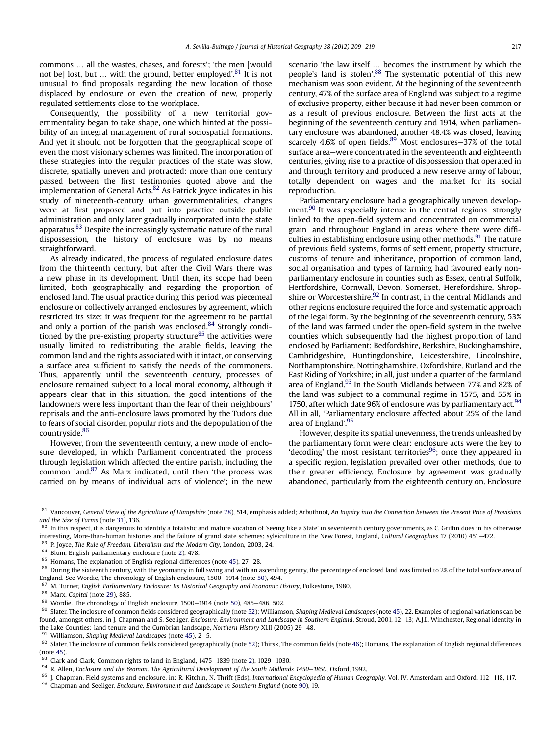<span id="page-8-0"></span>commons ... all the wastes, chases, and forests'; 'the men [would] not be] lost, but ... with the ground, better employed'.<sup>81</sup> It is not unusual to find proposals regarding the new location of those displaced by enclosure or even the creation of new, properly regulated settlements close to the workplace.

Consequently, the possibility of a new territorial governmentality began to take shape, one which hinted at the possibility of an integral management of rural sociospatial formations. And yet it should not be forgotten that the geographical scope of even the most visionary schemes was limited. The incorporation of these strategies into the regular practices of the state was slow, discrete, spatially uneven and protracted: more than one century passed between the first testimonies quoted above and the implementation of General Acts. $82$  As Patrick Joyce indicates in his study of nineteenth-century urban governmentalities, changes were at first proposed and put into practice outside public administration and only later gradually incorporated into the state apparatus.83 Despite the increasingly systematic nature of the rural dispossession, the history of enclosure was by no means straightforward.

As already indicated, the process of regulated enclosure dates from the thirteenth century, but after the Civil Wars there was a new phase in its development. Until then, its scope had been limited, both geographically and regarding the proportion of enclosed land. The usual practice during this period was piecemeal enclosure or collectively arranged enclosures by agreement, which restricted its size: it was frequent for the agreement to be partial and only a portion of the parish was enclosed.<sup>84</sup> Strongly conditioned by the pre-existing property structure $85$  the activities were usually limited to redistributing the arable fields, leaving the common land and the rights associated with it intact, or conserving a surface area sufficient to satisfy the needs of the commoners. Thus, apparently until the seventeenth century, processes of enclosure remained subject to a local moral economy, although it appears clear that in this situation, the good intentions of the landowners were less important than the fear of their neighbours' reprisals and the anti-enclosure laws promoted by the Tudors due to fears of social disorder, popular riots and the depopulation of the countryside.<sup>86</sup>

However, from the seventeenth century, a new mode of enclosure developed, in which Parliament concentrated the process through legislation which affected the entire parish, including the common land.<sup>87</sup> As Marx indicated, until then 'the process was carried on by means of individual acts of violence'; in the new

scenario 'the law itself ... becomes the instrument by which the people's land is stolen'.<sup>88</sup> The systematic potential of this new mechanism was soon evident. At the beginning of the seventeenth century, 47% of the surface area of England was subject to a regime of exclusive property, either because it had never been common or as a result of previous enclosure. Between the first acts at the beginning of the seventeenth century and 1914, when parliamentary enclosure was abandoned, another 48.4% was closed, leaving scarcely 4.6% of open fields. $89$  Most enclosures-37% of the total surface area-were concentrated in the seventeenth and eighteenth centuries, giving rise to a practice of dispossession that operated in and through territory and produced a new reserve army of labour, totally dependent on wages and the market for its social reproduction.

Parliamentary enclosure had a geographically uneven development. $90$  It was especially intense in the central regions-strongly linked to the open-field system and concentrated on commercial grain-and throughout England in areas where there were difficulties in establishing enclosure using other methods. $91$  The nature of previous field systems, forms of settlement, property structure, customs of tenure and inheritance, proportion of common land, social organisation and types of farming had favoured early nonparliamentary enclosure in counties such as Essex, central Suffolk, Hertfordshire, Cornwall, Devon, Somerset, Herefordshire, Shropshire or Worcestershire.<sup>92</sup> In contrast, in the central Midlands and other regions enclosure required the force and systematic approach of the legal form. By the beginning of the seventeenth century, 53% of the land was farmed under the open-field system in the twelve counties which subsequently had the highest proportion of land enclosed by Parliament: Bedfordshire, Berkshire, Buckinghamshire, Cambridgeshire, Huntingdonshire, Leicestershire, Lincolnshire, Northamptonshire, Nottinghamshire, Oxfordshire, Rutland and the East Riding of Yorkshire; in all, just under a quarter of the farmland area of England.<sup>93</sup> In the South Midlands between 77% and 82% of the land was subject to a communal regime in 1575, and 55% in 1750, after which date 96% of enclosure was by parliamentary act.  $94$ All in all, 'Parliamentary enclosure affected about 25% of the land area of England'. 95

However, despite its spatial unevenness, the trends unleashed by the parliamentary form were clear: enclosure acts were the key to 'decoding' the most resistant territories $96$ ; once they appeared in a specific region, legislation prevailed over other methods, due to their greater efficiency. Enclosure by agreement was gradually abandoned, particularly from the eighteenth century on. Enclosure

<sup>83</sup> P. Joyce, The Rule of Freedom. Liberalism and the Modern City, London, 2003, 24.<br><sup>84</sup> Plum, English parliamentary onelocyre (poto 3), 478

<sup>91</sup> Williamson, Shaping Medieval Landscapes (note  $45$ ),  $2-5$ .

 $81$  Vancouver, General View of the Agriculture of Hampshire (note [78\)](#page-7-0), 514, emphasis added; Arbuthnot, An Inquiry into the Connection between the Present Price of Provisions and the Size of Farms (note [31](#page-3-0)), 136.

 $82$  In this respect, it is dangerous to identify a totalistic and mature vocation of 'seeing like a State' in seventeenth century governments, as C. Griffin does in his otherwise interesting, More-than-human histories and the failure of grand state schemes: sylviculture in the New Forest, England, Cultural Geographies 17 (2010) 451-472.

<sup>&</sup>lt;sup>84</sup> Blum, English parliamentary enclosure (note [2\)](#page-0-0), 478.<br><sup>85</sup> Uemans, The evploration of English regional different

<sup>&</sup>lt;sup>85</sup> Homans, The explanation of English regional differences (note [45\)](#page-5-0), 27–28.<br><sup>86</sup> During the sixteenth contunus with the vector product full swing and with an a

During the sixteenth century, with the yeomanry in full swing and with an ascending gentry, the percentage of enclosed land was limited to 2% of the total surface area of England. See Wordie, The chronology of English enclosure, 1[50](#page-5-0)0-1914 (note 50), 494.

<sup>87</sup> M. Turner, English Parliamentary Enclosure: Its Historical Geography and Economic History, Folkestone, 1980.<br>88 Mary Capital (poto 20), 895

Marx, Capital (note [29\)](#page-3-0), 885.

Wordie, The chronology of English enclosure, 1500-1914 (note [50\)](#page-5-0), 485-486, 502.

<sup>90</sup> Slater, The inclosure of common fields considered geographically (note [52](#page-5-0)); Williamson, Shaping Medieval Landscapes (note [45](#page-5-0)), 22. Examples of regional variations can be found, amongst others, in J. Chapman and S. Seeliger, Enclosure, Environment and Landscape in Southern England, Stroud, 2001, 12-13; A.J.L. Winchester, Regional identity in the Lake Counties: land tenure and the Cumbrian landscape, Northern History XLII (2005) 29-48.

<sup>92</sup> Slater, The inclosure of common fields considered geographically (note [52](#page-5-0)); Thirsk, The common fields (note [46\)](#page-5-0); Homans, The explanation of English regional differences (note [45](#page-5-0)).

 $93$  Clark and Clark, Common rights to land in England,  $1475-1839$  (note [2](#page-0-0)),  $1029-1030$ .

 $94$  R. Allen, Enclosure and the Yeoman. The Agricultural Development of the South Midlands 1450-1850, Oxford, 1992.

<sup>95</sup> J. Chapman, Field systems and enclosure, in: R. Kitchin, N. Thrift (Eds), International Encyclopedia of Human Geography, Vol. IV, Amsterdam and Oxford, 112-118, 117.

<sup>96</sup> Chapman and Seeliger, Enclosure, Environment and Landscape in Southern England (note 90), 19.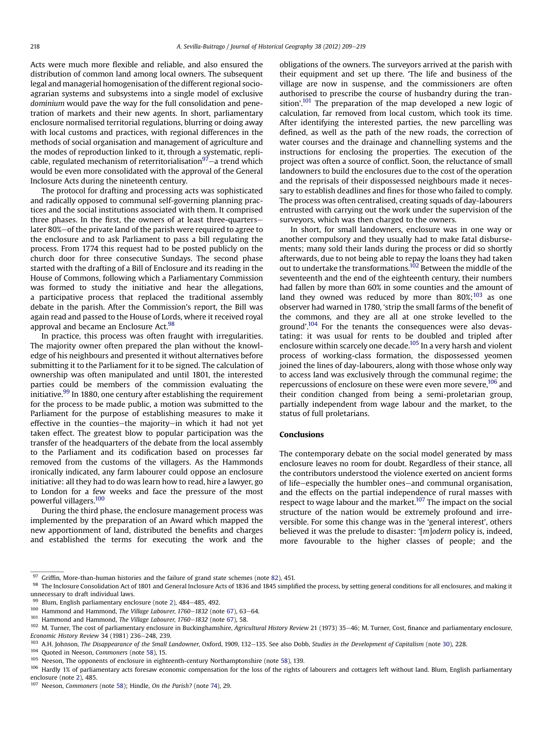Acts were much more flexible and reliable, and also ensured the distribution of common land among local owners. The subsequent legal and managerial homogenisation of the different regional socioagrarian systems and subsystems into a single model of exclusive dominium would pave the way for the full consolidation and penetration of markets and their new agents. In short, parliamentary enclosure normalised territorial regulations, blurring or doing away with local customs and practices, with regional differences in the methods of social organisation and management of agriculture and the modes of reproduction linked to it, through a systematic, replicable, regulated mechanism of reterritorialisation<sup>97</sup> $-$ a trend which would be even more consolidated with the approval of the General Inclosure Acts during the nineteenth century.

The protocol for drafting and processing acts was sophisticated and radically opposed to communal self-governing planning practices and the social institutions associated with them. It comprised three phases. In the first, the owners of at least three-quarterslater 80%-of the private land of the parish were required to agree to the enclosure and to ask Parliament to pass a bill regulating the process. From 1774 this request had to be posted publicly on the church door for three consecutive Sundays. The second phase started with the drafting of a Bill of Enclosure and its reading in the House of Commons, following which a Parliamentary Commission was formed to study the initiative and hear the allegations, a participative process that replaced the traditional assembly debate in the parish. After the Commission's report, the Bill was again read and passed to the House of Lords, where it received royal approval and became an Enclosure Act.<sup>98</sup>

In practice, this process was often fraught with irregularities. The majority owner often prepared the plan without the knowledge of his neighbours and presented it without alternatives before submitting it to the Parliament for it to be signed. The calculation of ownership was often manipulated and until 1801, the interested parties could be members of the commission evaluating the initiative.<sup>99</sup> In 1880, one century after establishing the requirement for the process to be made public, a motion was submitted to the Parliament for the purpose of establishing measures to make it effective in the counties-the majority-in which it had not yet taken effect. The greatest blow to popular participation was the transfer of the headquarters of the debate from the local assembly to the Parliament and its codification based on processes far removed from the customs of the villagers. As the Hammonds ironically indicated, any farm labourer could oppose an enclosure initiative: all they had to do was learn how to read, hire a lawyer, go to London for a few weeks and face the pressure of the most powerful villagers.100

During the third phase, the enclosure management process was implemented by the preparation of an Award which mapped the new apportionment of land, distributed the benefits and charges and established the terms for executing the work and the obligations of the owners. The surveyors arrived at the parish with their equipment and set up there. 'The life and business of the village are now in suspense, and the commissioners are often authorised to prescribe the course of husbandry during the transition'.<sup>101</sup> The preparation of the map developed a new logic of calculation, far removed from local custom, which took its time. After identifying the interested parties, the new parcelling was defined, as well as the path of the new roads, the correction of water courses and the drainage and channelling systems and the instructions for enclosing the properties. The execution of the project was often a source of conflict. Soon, the reluctance of small landowners to build the enclosures due to the cost of the operation and the reprisals of their dispossessed neighbours made it necessary to establish deadlines and fines for those who failed to comply. The process was often centralised, creating squads of day-labourers entrusted with carrying out the work under the supervision of the surveyors, which was then charged to the owners.

In short, for small landowners, enclosure was in one way or another compulsory and they usually had to make fatal disbursements; many sold their lands during the process or did so shortly afterwards, due to not being able to repay the loans they had taken out to undertake the transformations.102 Between the middle of the seventeenth and the end of the eighteenth century, their numbers had fallen by more than 60% in some counties and the amount of land they owned was reduced by more than  $80\%$ ;<sup>103</sup> as one observer had warned in 1780, 'strip the small farms of the benefit of the commons, and they are all at one stroke levelled to the ground'.<sup>104</sup> For the tenants the consequences were also devastating: it was usual for rents to be doubled and tripled after enclosure within scarcely one decade.<sup>105</sup> In a very harsh and violent process of working-class formation, the dispossessed yeomen joined the lines of day-labourers, along with those whose only way to access land was exclusively through the communal regime; the repercussions of enclosure on these were even more severe,<sup>106</sup> and their condition changed from being a semi-proletarian group, partially independent from wage labour and the market, to the status of full proletarians.

#### Conclusions

The contemporary debate on the social model generated by mass enclosure leaves no room for doubt. Regardless of their stance, all the contributors understood the violence exerted on ancient forms of life-especially the humbler ones-and communal organisation, and the effects on the partial independence of rural masses with respect to wage labour and the market.<sup>107</sup> The impact on the social structure of the nation would be extremely profound and irreversible. For some this change was in the 'general interest', others believed it was the prelude to disaster: '[m]odern policy is, indeed, more favourable to the higher classes of people; and the

 $97$  Griffin, More-than-human histories and the failure of grand state schemes (note [82](#page-8-0)), 451.

<sup>98</sup> The Inclosure Consolidation Act of 1801 and General Inclosure Acts of 1836 and 1845 simplified the process, by setting general conditions for all enclosures, and making it unnecessary to draft individual laws.

 $99$  Blum, English parliamentary enclosure (note [2\)](#page-0-0), 484-485, 492.

 $100$  Hammond and Hammond, The Village Labourer, 1760-1832 (note [67](#page-6-0)), 63-64.

 $101$  Hammond and Hammond, The Village Labourer, 1760-1832 (note [67](#page-6-0)), 58.

<sup>102</sup> M. Turner, The cost of parliamentary enclosure in Buckinghamshire, Agricultural History Review 21 (1973) 35-46; M. Turner, Cost, finance and parliamentary enclosure, Economic History Review  $34$  (1981) 236-248, 239.

<sup>&</sup>lt;sup>103</sup> A.H. Johnson, The Disappearance of the Small Landowner, Oxford, 1909, 132-135. See also Dobb, Studies in the Development of Capitalism (note [30](#page-3-0)), 228.

<sup>&</sup>lt;sup>104</sup> Quoted in Neeson, Commoners (note [58\)](#page-6-0), 15.

<sup>&</sup>lt;sup>105</sup> Neeson, The opponents of enclosure in eighteenth-century Northamptonshire (note [58\)](#page-6-0), 139.

<sup>106</sup> Hardly 1% of parliamentary acts foresaw economic compensation for the loss of the rights of labourers and cottagers left without land. Blum, English parliamentary enclosure (note [2](#page-0-0)), 485.

<sup>107</sup> Neeson, Commoners (note [58](#page-6-0)); Hindle, On the Parish? (note [74\)](#page-7-0), 29.